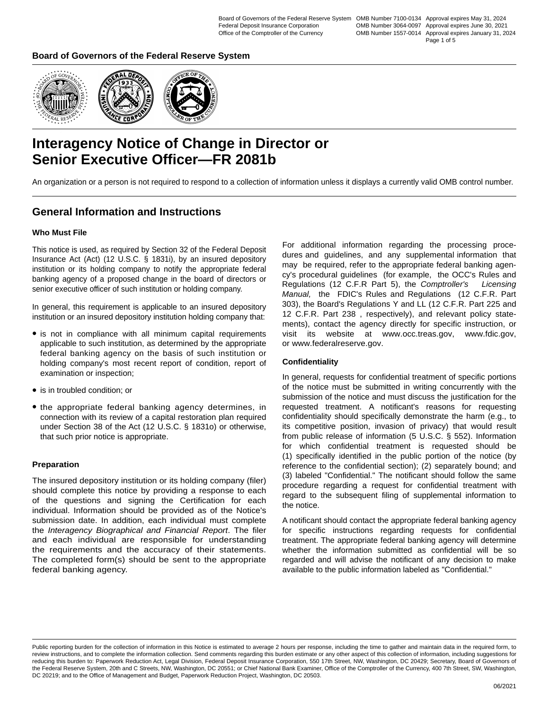OMB Number 1557-0014 Approval expires January 31, 2024

Page 1 of 5

### **Board of Governors of the Federal Reserve System**



# **Interagency Notice of Change in Director or Senior Executive Officer—FR 2081b**

An organization or a person is not required to respond to a collection of information unless it displays a currently valid OMB control number.

### **General Information and Instructions**

#### **Who Must File**

This notice is used, as required by Section 32 of the Federal Deposit Insurance Act (Act) (12 U.S.C. § 1831i), by an insured depository institution or its holding company to notify the appropriate federal banking agency of a proposed change in the board of directors or senior executive officer of such institution or holding company.

In general, this requirement is applicable to an insured depository institution or an insured depository institution holding company that:

- $\bullet$  is not in compliance with all minimum capital requirements applicable to such institution, as determined by the appropriate federal banking agency on the basis of such institution or holding company's most recent report of condition, report of examination or inspection;
- is in troubled condition; or
- the appropriate federal banking agency determines, in connection with its review of a capital restoration plan required under Section 38 of the Act (12 U.S.C. § 1831o) or otherwise, that such prior notice is appropriate.

#### **Preparation**

The insured depository institution or its holding company (filer) should complete this notice by providing a response to each of the questions and signing the Certification for each individual. Information should be provided as of the Notice's submission date. In addition, each individual must complete the *Interagency Biographical and Financial Report*. The filer and each individual are responsible for understanding the requirements and the accuracy of their statements. The completed form(s) should be sent to the appropriate federal banking agency.

For additional information regarding the processing procedures and guidelines, and any supplemental information that may be required, refer to the appropriate federal banking agency's procedural guidelines (for example, the OCC's Rules and Regulations (12 C.F.R Part 5), the *Comptroller's Licensing Manual,* the FDIC's Rules and Regulations (12 C.F.R. Part 303), the Board's Regulations Y and LL (12 C.F.R. Part 225 and 12 C.F.R. Part 238 , respectively), and relevant policy statements), contact the agency directly for specific instruction, or visit its website at www.occ.treas.gov, www.fdic.gov, or www.federalreserve.gov.

#### **Confidentiality**

In general, requests for confidential treatment of specific portions of the notice must be submitted in writing concurrently with the submission of the notice and must discuss the justification for the requested treatment. A notificant's reasons for requesting confidentiality should specifically demonstrate the harm (e.g., to its competitive position, invasion of privacy) that would result from public release of information (5 U.S.C. § 552). Information for which confidential treatment is requested should be (1) specifically identified in the public portion of the notice (by reference to the confidential section); (2) separately bound; and (3) labeled "Confidential." The notificant should follow the same procedure regarding a request for confidential treatment with regard to the subsequent filing of supplemental information to the notice.

A notificant should contact the appropriate federal banking agency for specific instructions regarding requests for confidential treatment. The appropriate federal banking agency will determine whether the information submitted as confidential will be so regarded and will advise the notificant of any decision to make available to the public information labeled as "Confidential."

Public reporting burden for the collection of information in this Notice is estimated to average 2 hours per response, including the time to gather and maintain data in the required form, to review instructions, and to complete the information collection. Send comments regarding this burden estimate or any other aspect of this collection of information, including suggestions for reducing this burden to: Paperwork Reduction Act, Legal Division, Federal Deposit Insurance Corporation, 550 17th Street, NW, Washington, DC 20429; Secretary, Board of Governors of the Federal Reserve System, 20th and C Streets, NW, Washington, DC 20551; or Chief National Bank Examiner, Office of the Comptroller of the Currency, 400 7th Street, SW, Washington, DC 20219; and to the Office of Management and Budget, Paperwork Reduction Project, Washington, DC 20503.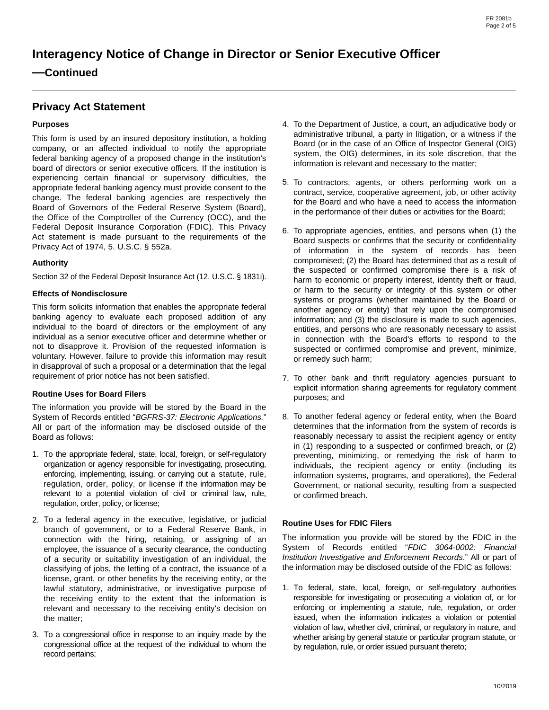## **—Continued**

## **Privacy Act Statement**

#### **Purposes**

This form is used by an insured depository institution, a holding company, or an affected individual to notify the appropriate federal banking agency of a proposed change in the institution's board of directors or senior executive officers. If the institution is experiencing certain financial or supervisory difficulties, the appropriate federal banking agency must provide consent to the change. The federal banking agencies are respectively the Board of Governors of the Federal Reserve System (Board), the Office of the Comptroller of the Currency (OCC), and the Federal Deposit Insurance Corporation (FDIC). This Privacy Act statement is made pursuant to the requirements of the Privacy Act of 1974, 5. U.S.C. § 552a.

#### **Authority**

Section 32 of the Federal Deposit Insurance Act (12. U.S.C. § 1831i).

#### **Effects of Nondisclosure**

This form solicits information that enables the appropriate federal banking agency to evaluate each proposed addition of any individual to the board of directors or the employment of any individual as a senior executive officer and determine whether or not to disapprove it. Provision of the requested information is voluntary. However, failure to provide this information may result in disapproval of such a proposal or a determination that the legal requirement of prior notice has not been satisfied.

#### **Routine Uses for Board Filers**

The information you provide will be stored by the Board in the System of Records entitled "*BGFRS-37: Electronic Applications.*" All or part of the information may be disclosed outside of the Board as follows:

- 1. To the appropriate federal, state, local, foreign, or self-regulatory organization or agency responsible for investigating, prosecuting, enforcing, implementing, issuing, or carrying out a statute, rule, regulation, order, policy, or license if the information may be relevant to a potential violation of civil or criminal law, rule, regulation, order, policy, or license;
- 2. To a federal agency in the executive, legislative, or judicial branch of government, or to a Federal Reserve Bank, in connection with the hiring, retaining, or assigning of an employee, the issuance of a security clearance, the conducting of a security or suitability investigation of an individual, the classifying of jobs, the letting of a contract, the issuance of a license, grant, or other benefits by the receiving entity, or the lawful statutory, administrative, or investigative purpose of the receiving entity to the extent that the information is relevant and necessary to the receiving entity's decision on the matter;
- To a congressional office in response to an inquiry made by the 3. congressional office at the request of the individual to whom the record pertains;
- To the Department of Justice, a court, an adjudicative body or 4. administrative tribunal, a party in litigation, or a witness if the Board (or in the case of an Office of Inspector General (OIG) system, the OIG) determines, in its sole discretion, that the information is relevant and necessary to the matter;
- 5. To contractors, agents, or others performing work on a contract, service, cooperative agreement, job, or other activity for the Board and who have a need to access the information in the performance of their duties or activities for the Board;
- 6. To appropriate agencies, entities, and persons when (1) the Board suspects or confirms that the security or confidentiality of information in the system of records has been compromised; (2) the Board has determined that as a result of the suspected or confirmed compromise there is a risk of harm to economic or property interest, identity theft or fraud, or harm to the security or integrity of this system or other systems or programs (whether maintained by the Board or another agency or entity) that rely upon the compromised information; and (3) the disclosure is made to such agencies, entities, and persons who are reasonably necessary to assist in connection with the Board's efforts to respond to the suspected or confirmed compromise and prevent, minimize, or remedy such harm;
- To other bank and thrift regulatory agencies pursuant to 7. explicit information sharing agreements for regulatory comment purposes; and
- To another federal agency or federal entity, when the Board 8. determines that the information from the system of records is reasonably necessary to assist the recipient agency or entity in (1) responding to a suspected or confirmed breach, or (2) preventing, minimizing, or remedying the risk of harm to individuals, the recipient agency or entity (including its information systems, programs, and operations), the Federal Government, or national security, resulting from a suspected or confirmed breach.

#### **Routine Uses for FDIC Filers**

The information you provide will be stored by the FDIC in the System of Records entitled "*FDIC 3064-0002: Financial Institution Investigative and Enforcement Records*." All or part of the information may be disclosed outside of the FDIC as follows:

1. To federal, state, local, foreign, or self-regulatory authorities responsible for investigating or prosecuting a violation of, or for enforcing or implementing a statute, rule, regulation, or order issued, when the information indicates a violation or potential violation of law, whether civil, criminal, or regulatory in nature, and whether arising by general statute or particular program statute, or by regulation, rule, or order issued pursuant thereto;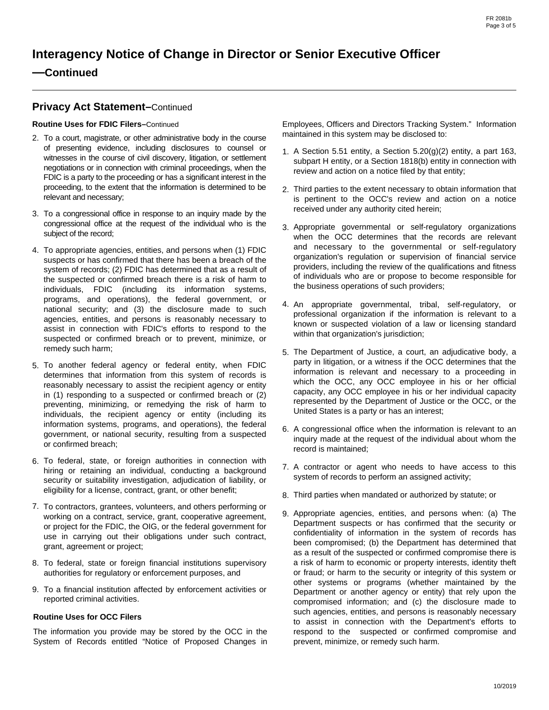## **—Continued**

### **Privacy Act Statement–**Continued

**Routine Uses for FDIC Filers–**Continued

- To a court, magistrate, or other administrative body in the course 2. of presenting evidence, including disclosures to counsel or witnesses in the course of civil discovery, litigation, or settlement negotiations or in connection with criminal proceedings, when the FDIC is a party to the proceeding or has a significant interest in the proceeding, to the extent that the information is determined to be relevant and necessary;
- To a congressional office in response to an inquiry made by the 3. congressional office at the request of the individual who is the subject of the record;
- 4. To appropriate agencies, entities, and persons when (1) FDIC suspects or has confirmed that there has been a breach of the system of records; (2) FDIC has determined that as a result of the suspected or confirmed breach there is a risk of harm to individuals, FDIC (including its information systems, programs, and operations), the federal government, or national security; and (3) the disclosure made to such agencies, entities, and persons is reasonably necessary to assist in connection with FDIC's efforts to respond to the suspected or confirmed breach or to prevent, minimize, or remedy such harm;
- 5. To another federal agency or federal entity, when FDIC determines that information from this system of records is reasonably necessary to assist the recipient agency or entity in (1) responding to a suspected or confirmed breach or (2) preventing, minimizing, or remedying the risk of harm to individuals, the recipient agency or entity (including its information systems, programs, and operations), the federal government, or national security, resulting from a suspected or confirmed breach;
- To federal, state, or foreign authorities in connection with 6. hiring or retaining an individual, conducting a background security or suitability investigation, adjudication of liability, or eligibility for a license, contract, grant, or other benefit;
- To contractors, grantees, volunteers, and others performing or 7. working on a contract, service, grant, cooperative agreement, or project for the FDIC, the OIG, or the federal government for use in carrying out their obligations under such contract, grant, agreement or project;
- To federal, state or foreign financial institutions supervisory 8. authorities for regulatory or enforcement purposes, and
- To a financial institution affected by enforcement activities or 9. reported criminal activities.

#### **Routine Uses for OCC Filers**

The information you provide may be stored by the OCC in the System of Records entitled "Notice of Proposed Changes in Employees, Officers and Directors Tracking System." Information maintained in this system may be disclosed to:

- 1. A Section 5.51 entity, a Section  $5.20(g)(2)$  entity, a part 163, subpart H entity, or a Section 1818(b) entity in connection with review and action on a notice filed by that entity;
- Third parties to the extent necessary to obtain information that 2. is pertinent to the OCC's review and action on a notice received under any authority cited herein;
- 3. Appropriate governmental or self-regulatory organizations when the OCC determines that the records are relevant and necessary to the governmental or self-regulatory organization's regulation or supervision of financial service providers, including the review of the qualifications and fitness of individuals who are or propose to become responsible for the business operations of such providers;
- An appropriate governmental, tribal, self-regulatory, or 4. professional organization if the information is relevant to a known or suspected violation of a law or licensing standard within that organization's jurisdiction;
- The Department of Justice, a court, an adjudicative body, a 5. party in litigation, or a witness if the OCC determines that the information is relevant and necessary to a proceeding in which the OCC, any OCC employee in his or her official capacity, any OCC employee in his or her individual capacity represented by the Department of Justice or the OCC, or the United States is a party or has an interest;
- 6. A congressional office when the information is relevant to an inquiry made at the request of the individual about whom the record is maintained;
- 7. A contractor or agent who needs to have access to this system of records to perform an assigned activity;
- Third parties when mandated or authorized by statute; or 8.
- 9. Appropriate agencies, entities, and persons when: (a) The Department suspects or has confirmed that the security or confidentiality of information in the system of records has been compromised; (b) the Department has determined that as a result of the suspected or confirmed compromise there is a risk of harm to economic or property interests, identity theft or fraud; or harm to the security or integrity of this system or other systems or programs (whether maintained by the Department or another agency or entity) that rely upon the compromised information; and (c) the disclosure made to such agencies, entities, and persons is reasonably necessary to assist in connection with the Department's efforts to respond to the suspected or confirmed compromise and prevent, minimize, or remedy such harm.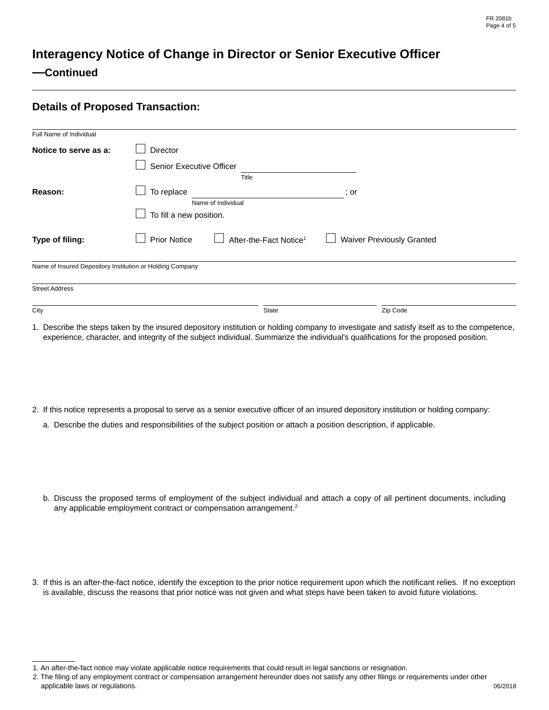## **—Continued**

## **Details of Proposed Transaction:**

| Full Name of Individual                                   |                                          |                                    |                                  |  |  |
|-----------------------------------------------------------|------------------------------------------|------------------------------------|----------------------------------|--|--|
| Notice to serve as a:                                     | <b>Director</b>                          |                                    |                                  |  |  |
|                                                           | Senior Executive Officer                 |                                    |                                  |  |  |
|                                                           |                                          | Title                              |                                  |  |  |
| Reason:                                                   | To replace<br>; or<br>Name of Individual |                                    |                                  |  |  |
|                                                           | To fill a new position.                  |                                    |                                  |  |  |
|                                                           |                                          |                                    |                                  |  |  |
| Type of filing:                                           | <b>Prior Notice</b>                      | After-the-Fact Notice <sup>1</sup> | <b>Waiver Previously Granted</b> |  |  |
| Name of Insured Depository Institution or Holding Company |                                          |                                    |                                  |  |  |
| <b>Street Address</b>                                     |                                          |                                    |                                  |  |  |
|                                                           |                                          |                                    | $\vert \mathbf{v} \vert$         |  |  |
| City                                                      |                                          | State                              | Zip Code                         |  |  |
|                                                           |                                          |                                    |                                  |  |  |

1. Describe the steps taken by the insured depository institution or holding company to investigate and satisfy itself as to the competence, experience, character, and integrity of the subject individual. Summarize the individual's qualifications for the proposed position.

- 2. If this notice represents a proposal to serve as a senior executive officer of an insured depository institution or holding company:
	- a. Describe the duties and responsibilities of the subject position or attach a position description, if applicable.
	- b. Discuss the proposed terms of employment of the subject individual and attach a copy of all pertinent documents, including any applicable employment contract or compensation arrangement.<sup>2</sup>
- 3. If this is an after-the-fact notice, identify the exception to the prior notice requirement upon which the notificant relies. If no exception is available, discuss the reasons that prior notice was not given and what steps have been taken to avoid future violations.

<sup>1.</sup> An after-the-fact notice may violate applicable notice requirements that could result in legal sanctions or resignation.

<sup>2.</sup> The filing of any employment contract or compensation arrangement hereunder does not satisfy any other filings or requirements under other applicable laws or regulations.